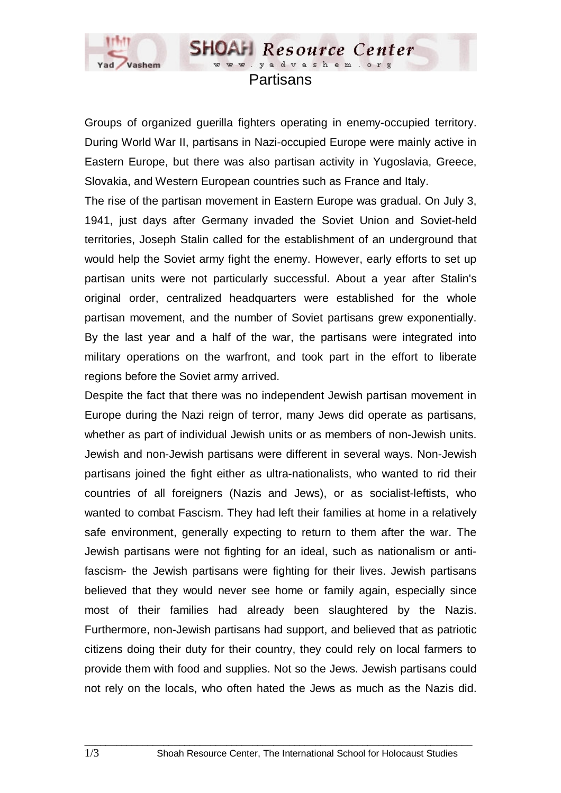

## Partisans

**SHOAH** Resource Center www.yadvashem.o

Groups of organized guerilla fighters operating in enemy-occupied territory. During World War II, partisans in Nazi-occupied Europe were mainly active in Eastern Europe, but there was also partisan activity in Yugoslavia, Greece, Slovakia, and Western European countries such as France and Italy.

The rise of the partisan movement in Eastern Europe was gradual. On July 3, 1941, just days after Germany invaded the Soviet Union and Soviet-held territories, Joseph Stalin called for the establishment of an underground that would help the Soviet army fight the enemy. However, early efforts to set up partisan units were not particularly successful. About a year after Stalin's original order, centralized headquarters were established for the whole partisan movement, and the number of Soviet partisans grew exponentially. By the last year and a half of the war, the partisans were integrated into military operations on the warfront, and took part in the effort to liberate regions before the Soviet army arrived.

Despite the fact that there was no independent Jewish partisan movement in Europe during the Nazi reign of terror, many Jews did operate as partisans, whether as part of individual Jewish units or as members of non-Jewish units. Jewish and non-Jewish partisans were different in several ways. Non-Jewish partisans joined the fight either as ultra-nationalists, who wanted to rid their countries of all foreigners (Nazis and Jews), or as socialist-leftists, who wanted to combat Fascism. They had left their families at home in a relatively safe environment, generally expecting to return to them after the war. The Jewish partisans were not fighting for an ideal, such as nationalism or antifascism- the Jewish partisans were fighting for their lives. Jewish partisans believed that they would never see home or family again, especially since most of their families had already been slaughtered by the Nazis. Furthermore, non-Jewish partisans had support, and believed that as patriotic citizens doing their duty for their country, they could rely on local farmers to provide them with food and supplies. Not so the Jews. Jewish partisans could not rely on the locals, who often hated the Jews as much as the Nazis did.

 $\_$  ,  $\_$  ,  $\_$  ,  $\_$  ,  $\_$  ,  $\_$  ,  $\_$  ,  $\_$  ,  $\_$  ,  $\_$  ,  $\_$  ,  $\_$  ,  $\_$  ,  $\_$  ,  $\_$  ,  $\_$  ,  $\_$  ,  $\_$  ,  $\_$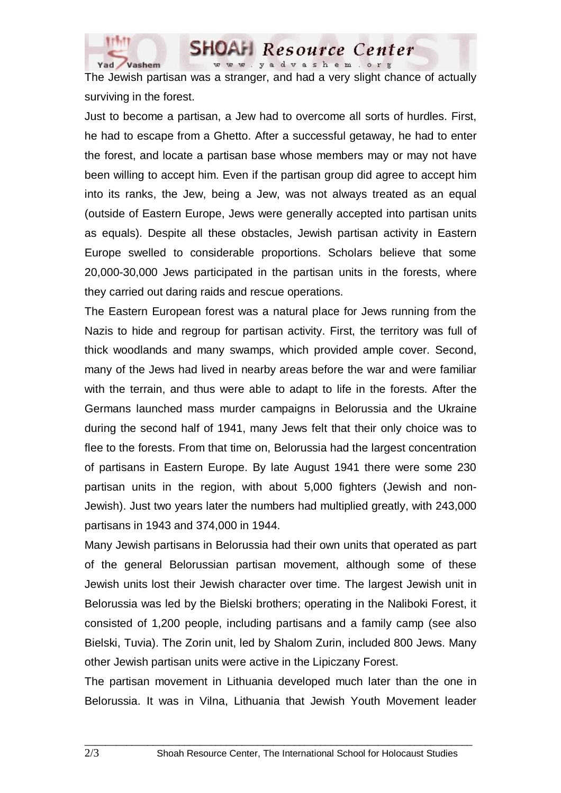

The Jewish partisan was a stranger, and had a very slight chance of actually surviving in the forest.

**SHOAH Resource Center** www.yadvashem.org

Just to become a partisan, a Jew had to overcome all sorts of hurdles. First, he had to escape from a Ghetto. After a successful getaway, he had to enter the forest, and locate a partisan base whose members may or may not have been willing to accept him. Even if the partisan group did agree to accept him into its ranks, the Jew, being a Jew, was not always treated as an equal (outside of Eastern Europe, Jews were generally accepted into partisan units as equals). Despite all these obstacles, Jewish partisan activity in Eastern Europe swelled to considerable proportions. Scholars believe that some 20,000-30,000 Jews participated in the partisan units in the forests, where they carried out daring raids and rescue operations.

The Eastern European forest was a natural place for Jews running from the Nazis to hide and regroup for partisan activity. First, the territory was full of thick woodlands and many swamps, which provided ample cover. Second, many of the Jews had lived in nearby areas before the war and were familiar with the terrain, and thus were able to adapt to life in the forests. After the Germans launched mass murder campaigns in Belorussia and the Ukraine during the second half of 1941, many Jews felt that their only choice was to flee to the forests. From that time on, Belorussia had the largest concentration of partisans in Eastern Europe. By late August 1941 there were some 230 partisan units in the region, with about 5,000 fighters (Jewish and non-Jewish). Just two years later the numbers had multiplied greatly, with 243,000 partisans in 1943 and 374,000 in 1944.

Many Jewish partisans in Belorussia had their own units that operated as part of the general Belorussian partisan movement, although some of these Jewish units lost their Jewish character over time. The largest Jewish unit in Belorussia was led by the Bielski brothers; operating in the Naliboki Forest, it consisted of 1,200 people, including partisans and a family camp (see also Bielski, Tuvia). The Zorin unit, led by Shalom Zurin, included 800 Jews. Many other Jewish partisan units were active in the Lipiczany Forest.

The partisan movement in Lithuania developed much later than the one in Belorussia. It was in Vilna, Lithuania that Jewish Youth Movement leader

 $\_$  ,  $\_$  ,  $\_$  ,  $\_$  ,  $\_$  ,  $\_$  ,  $\_$  ,  $\_$  ,  $\_$  ,  $\_$  ,  $\_$  ,  $\_$  ,  $\_$  ,  $\_$  ,  $\_$  ,  $\_$  ,  $\_$  ,  $\_$  ,  $\_$